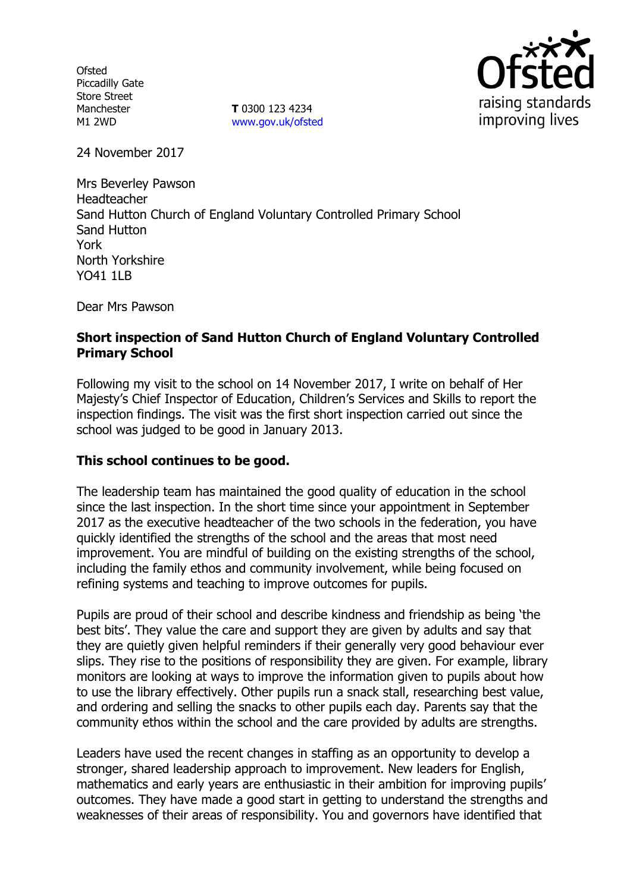**Ofsted** Piccadilly Gate Store Street Manchester M1 2WD

**T** 0300 123 4234 www.gov.uk/ofsted



24 November 2017

Mrs Beverley Pawson Headteacher Sand Hutton Church of England Voluntary Controlled Primary School Sand Hutton York North Yorkshire YO41 1I B

Dear Mrs Pawson

# **Short inspection of Sand Hutton Church of England Voluntary Controlled Primary School**

Following my visit to the school on 14 November 2017, I write on behalf of Her Majesty's Chief Inspector of Education, Children's Services and Skills to report the inspection findings. The visit was the first short inspection carried out since the school was judged to be good in January 2013.

## **This school continues to be good.**

The leadership team has maintained the good quality of education in the school since the last inspection. In the short time since your appointment in September 2017 as the executive headteacher of the two schools in the federation, you have quickly identified the strengths of the school and the areas that most need improvement. You are mindful of building on the existing strengths of the school, including the family ethos and community involvement, while being focused on refining systems and teaching to improve outcomes for pupils.

Pupils are proud of their school and describe kindness and friendship as being 'the best bits'. They value the care and support they are given by adults and say that they are quietly given helpful reminders if their generally very good behaviour ever slips. They rise to the positions of responsibility they are given. For example, library monitors are looking at ways to improve the information given to pupils about how to use the library effectively. Other pupils run a snack stall, researching best value, and ordering and selling the snacks to other pupils each day. Parents say that the community ethos within the school and the care provided by adults are strengths.

Leaders have used the recent changes in staffing as an opportunity to develop a stronger, shared leadership approach to improvement. New leaders for English, mathematics and early years are enthusiastic in their ambition for improving pupils' outcomes. They have made a good start in getting to understand the strengths and weaknesses of their areas of responsibility. You and governors have identified that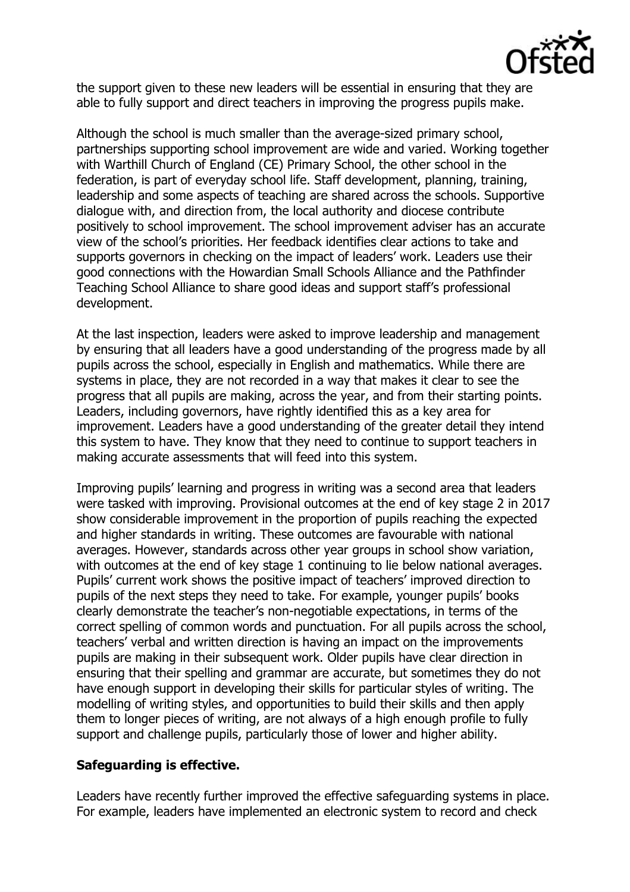

the support given to these new leaders will be essential in ensuring that they are able to fully support and direct teachers in improving the progress pupils make.

Although the school is much smaller than the average-sized primary school, partnerships supporting school improvement are wide and varied. Working together with Warthill Church of England (CE) Primary School, the other school in the federation, is part of everyday school life. Staff development, planning, training, leadership and some aspects of teaching are shared across the schools. Supportive dialogue with, and direction from, the local authority and diocese contribute positively to school improvement. The school improvement adviser has an accurate view of the school's priorities. Her feedback identifies clear actions to take and supports governors in checking on the impact of leaders' work. Leaders use their good connections with the Howardian Small Schools Alliance and the Pathfinder Teaching School Alliance to share good ideas and support staff's professional development.

At the last inspection, leaders were asked to improve leadership and management by ensuring that all leaders have a good understanding of the progress made by all pupils across the school, especially in English and mathematics. While there are systems in place, they are not recorded in a way that makes it clear to see the progress that all pupils are making, across the year, and from their starting points. Leaders, including governors, have rightly identified this as a key area for improvement. Leaders have a good understanding of the greater detail they intend this system to have. They know that they need to continue to support teachers in making accurate assessments that will feed into this system.

Improving pupils' learning and progress in writing was a second area that leaders were tasked with improving. Provisional outcomes at the end of key stage 2 in 2017 show considerable improvement in the proportion of pupils reaching the expected and higher standards in writing. These outcomes are favourable with national averages. However, standards across other year groups in school show variation, with outcomes at the end of key stage 1 continuing to lie below national averages. Pupils' current work shows the positive impact of teachers' improved direction to pupils of the next steps they need to take. For example, younger pupils' books clearly demonstrate the teacher's non-negotiable expectations, in terms of the correct spelling of common words and punctuation. For all pupils across the school, teachers' verbal and written direction is having an impact on the improvements pupils are making in their subsequent work. Older pupils have clear direction in ensuring that their spelling and grammar are accurate, but sometimes they do not have enough support in developing their skills for particular styles of writing. The modelling of writing styles, and opportunities to build their skills and then apply them to longer pieces of writing, are not always of a high enough profile to fully support and challenge pupils, particularly those of lower and higher ability.

## **Safeguarding is effective.**

Leaders have recently further improved the effective safeguarding systems in place. For example, leaders have implemented an electronic system to record and check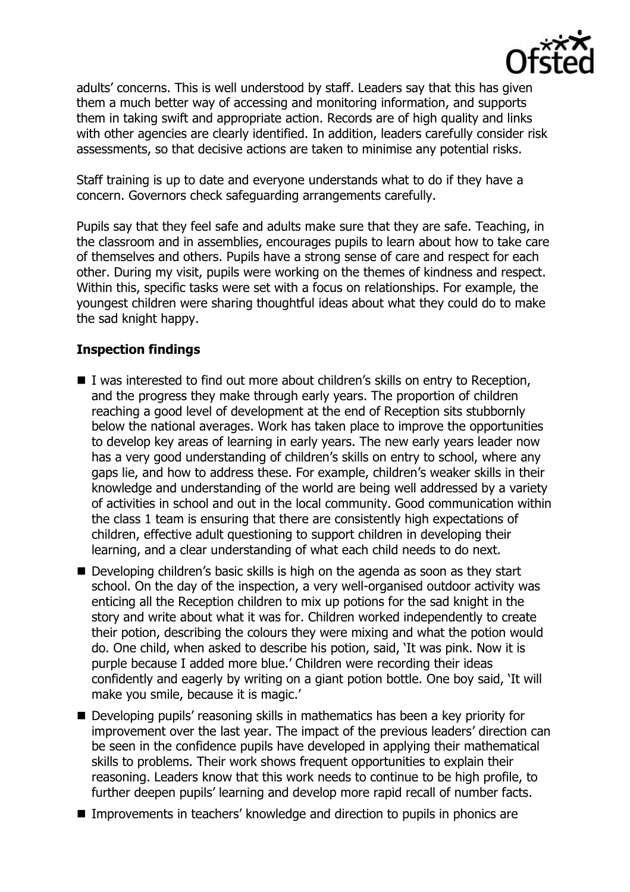

adults' concerns. This is well understood by staff. Leaders say that this has given them a much better way of accessing and monitoring information, and supports them in taking swift and appropriate action. Records are of high quality and links with other agencies are clearly identified. In addition, leaders carefully consider risk assessments, so that decisive actions are taken to minimise any potential risks.

Staff training is up to date and everyone understands what to do if they have a concern. Governors check safeguarding arrangements carefully.

Pupils say that they feel safe and adults make sure that they are safe. Teaching, in the classroom and in assemblies, encourages pupils to learn about how to take care of themselves and others. Pupils have a strong sense of care and respect for each other. During my visit, pupils were working on the themes of kindness and respect. Within this, specific tasks were set with a focus on relationships. For example, the youngest children were sharing thoughtful ideas about what they could do to make the sad knight happy.

# **Inspection findings**

- $\blacksquare$  I was interested to find out more about children's skills on entry to Reception, and the progress they make through early years. The proportion of children reaching a good level of development at the end of Reception sits stubbornly below the national averages. Work has taken place to improve the opportunities to develop key areas of learning in early years. The new early years leader now has a very good understanding of children's skills on entry to school, where any gaps lie, and how to address these. For example, children's weaker skills in their knowledge and understanding of the world are being well addressed by a variety of activities in school and out in the local community. Good communication within the class 1 team is ensuring that there are consistently high expectations of children, effective adult questioning to support children in developing their learning, and a clear understanding of what each child needs to do next.
- Developing children's basic skills is high on the agenda as soon as they start school. On the day of the inspection, a very well-organised outdoor activity was enticing all the Reception children to mix up potions for the sad knight in the story and write about what it was for. Children worked independently to create their potion, describing the colours they were mixing and what the potion would do. One child, when asked to describe his potion, said, 'It was pink. Now it is purple because I added more blue.' Children were recording their ideas confidently and eagerly by writing on a giant potion bottle. One boy said, 'It will make you smile, because it is magic.'
- Developing pupils' reasoning skills in mathematics has been a key priority for improvement over the last year. The impact of the previous leaders' direction can be seen in the confidence pupils have developed in applying their mathematical skills to problems. Their work shows frequent opportunities to explain their reasoning. Leaders know that this work needs to continue to be high profile, to further deepen pupils' learning and develop more rapid recall of number facts.
- Improvements in teachers' knowledge and direction to pupils in phonics are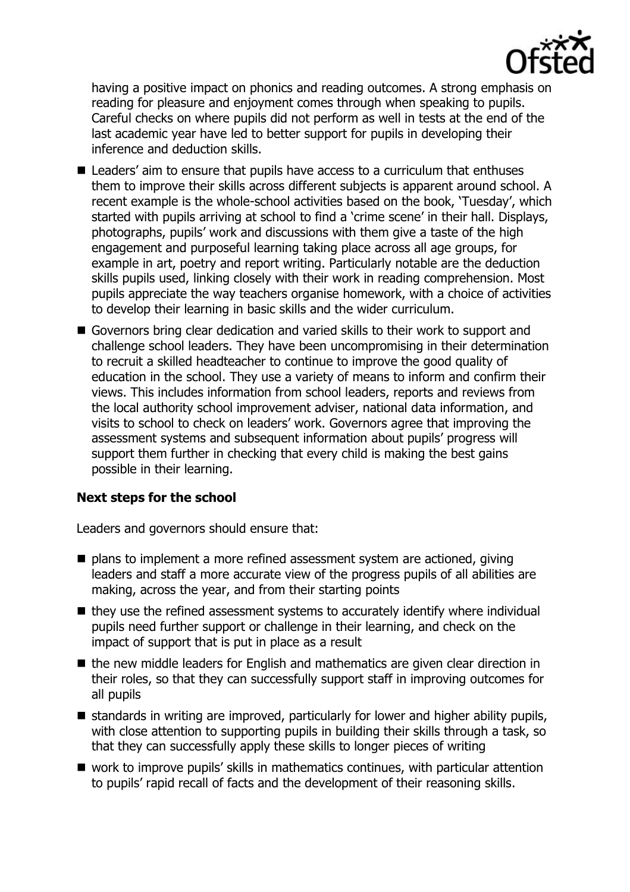

having a positive impact on phonics and reading outcomes. A strong emphasis on reading for pleasure and enjoyment comes through when speaking to pupils. Careful checks on where pupils did not perform as well in tests at the end of the last academic year have led to better support for pupils in developing their inference and deduction skills.

- Leaders' aim to ensure that pupils have access to a curriculum that enthuses them to improve their skills across different subjects is apparent around school. A recent example is the whole-school activities based on the book, 'Tuesday', which started with pupils arriving at school to find a 'crime scene' in their hall. Displays, photographs, pupils' work and discussions with them give a taste of the high engagement and purposeful learning taking place across all age groups, for example in art, poetry and report writing. Particularly notable are the deduction skills pupils used, linking closely with their work in reading comprehension. Most pupils appreciate the way teachers organise homework, with a choice of activities to develop their learning in basic skills and the wider curriculum.
- Governors bring clear dedication and varied skills to their work to support and challenge school leaders. They have been uncompromising in their determination to recruit a skilled headteacher to continue to improve the good quality of education in the school. They use a variety of means to inform and confirm their views. This includes information from school leaders, reports and reviews from the local authority school improvement adviser, national data information, and visits to school to check on leaders' work. Governors agree that improving the assessment systems and subsequent information about pupils' progress will support them further in checking that every child is making the best gains possible in their learning.

## **Next steps for the school**

Leaders and governors should ensure that:

- plans to implement a more refined assessment system are actioned, giving leaders and staff a more accurate view of the progress pupils of all abilities are making, across the year, and from their starting points
- $\blacksquare$  they use the refined assessment systems to accurately identify where individual pupils need further support or challenge in their learning, and check on the impact of support that is put in place as a result
- the new middle leaders for English and mathematics are given clear direction in their roles, so that they can successfully support staff in improving outcomes for all pupils
- $\blacksquare$  standards in writing are improved, particularly for lower and higher ability pupils, with close attention to supporting pupils in building their skills through a task, so that they can successfully apply these skills to longer pieces of writing
- work to improve pupils' skills in mathematics continues, with particular attention to pupils' rapid recall of facts and the development of their reasoning skills.